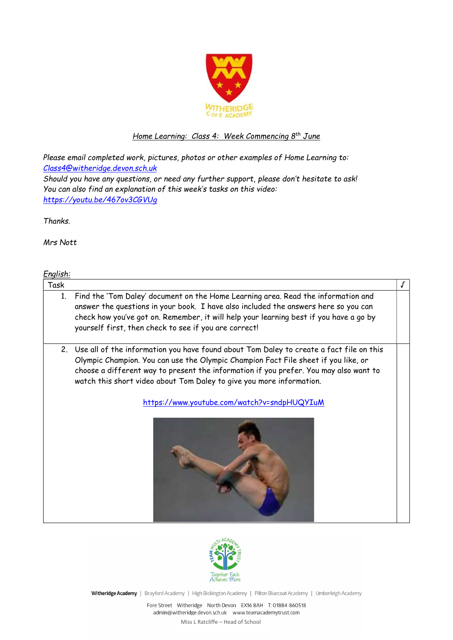

# Home Learning: Class 4: Week Commencing 8<sup>th</sup> June

Please email completed work, pictures, photos or other examples of Home Learning to: Class4@witheridge.devon.sch.uk Should you have any questions, or need any further support, please don't hesitate to ask! You can also find an explanation of this week's tasks on this video:

https://youtu.be/467ov3CGVUg

Thanks.

Mrs Nott

English:

| <u>- 1911 - 1911 - 1911 - 1911 - 1912 - 1914 - 1914 - 1914 - 1914 - 1914 - 1914 - 1914 - 1914 - 1914 - 1914 - 19</u> |                                                                                                                                                                                                                                                                                                                                                                                               |  |  |  |
|----------------------------------------------------------------------------------------------------------------------|-----------------------------------------------------------------------------------------------------------------------------------------------------------------------------------------------------------------------------------------------------------------------------------------------------------------------------------------------------------------------------------------------|--|--|--|
| Task                                                                                                                 |                                                                                                                                                                                                                                                                                                                                                                                               |  |  |  |
| 1.                                                                                                                   | Find the 'Tom Daley' document on the Home Learning area. Read the information and<br>answer the questions in your book. I have also included the answers here so you can<br>check how you've got on. Remember, it will help your learning best if you have a go by<br>yourself first, then check to see if you are correct!                                                                   |  |  |  |
| 2.                                                                                                                   | Use all of the information you have found about Tom Daley to create a fact file on this<br>Olympic Champion. You can use the Olympic Champion Fact File sheet if you like, or<br>choose a different way to present the information if you prefer. You may also want to<br>watch this short video about Tom Daley to give you more information.<br>https://www.youtube.com/watch?v=sndpHUQYIuM |  |  |  |
|                                                                                                                      |                                                                                                                                                                                                                                                                                                                                                                                               |  |  |  |



Witheridge Academy | Brayford Academy | High Bickington Academy | Pilton Bluecoat Academy | Umberleigh Academy

Fore Street Witheridge North Devon EX16 8AH T: 01884-860518 admin@witheridge.devon.sch.uk www.teamacademytrust.com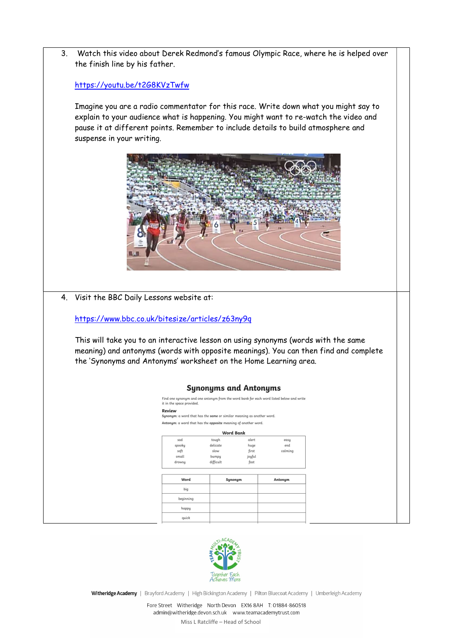

### https://youtu.be/t2G8KVzTwfw

Imagine you are a radio commentator for this race. Write down what you might say to explain to your audience what is happening. You might want to re-watch the video and pause it at different points. Remember to include details to build atmosphere and suspense in your writing.



4. Visit the BBC Daily Lessons website at:

https://www.bbc.co.uk/bitesize/articles/z63ny9q

This will take you to an interactive lesson on using synonyms (words with the same meaning) and antonyms (words with opposite meanings). You can then find and complete the 'Synonyms and Antonyms' worksheet on the Home Learning area.

#### **Synonyms and Antonyms**

Find one synonym and one antonym from the word bank for each word listed below and write<br>it in the space provided. Review Synonym: a word that has the same or similar meaning as another word.

#### Antonym: a word that has the opposite meaning of another word.

| <b>Word Bank</b> |           |        |         |  |  |  |  |
|------------------|-----------|--------|---------|--|--|--|--|
| sad              | tough     | alert  | easy    |  |  |  |  |
| spooky           | delicate  | huge   | end     |  |  |  |  |
| soft             | slow      | first  | calming |  |  |  |  |
| small            | bumpy     | joyful |         |  |  |  |  |
| drowsy           | difficult | fast   |         |  |  |  |  |
| Word             | Synonym   |        | Antonym |  |  |  |  |
|                  |           |        |         |  |  |  |  |
| big              |           |        |         |  |  |  |  |
| beginning        |           |        |         |  |  |  |  |
| happy            |           |        |         |  |  |  |  |



Witheridge Academy | Brayford Academy | High Bickington Academy | Pilton Bluecoat Academy | Umberleigh Academy

Fore Street Witheridge North Devon EX16 8AH T: 01884-860518 admin@witheridge.devon.sch.uk www.teamacademytrust.com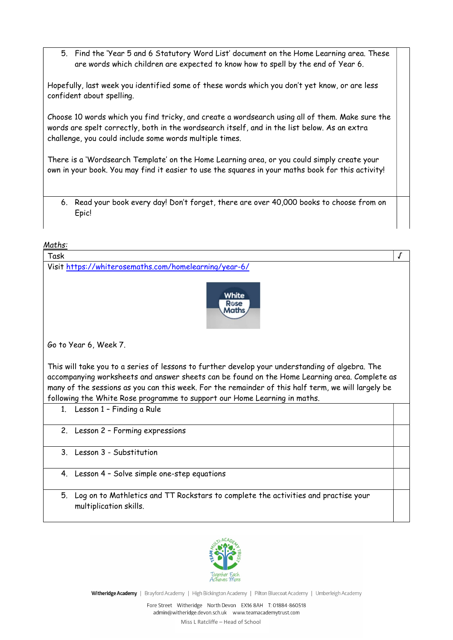5. Find the 'Year 5 and 6 Statutory Word List' document on the Home Learning area. These are words which children are expected to know how to spell by the end of Year 6.

Hopefully, last week you identified some of these words which you don't yet know, or are less confident about spelling.

Choose 10 words which you find tricky, and create a wordsearch using all of them. Make sure the words are spelt correctly, both in the wordsearch itself, and in the list below. As an extra challenge, you could include some words multiple times.

There is a 'Wordsearch Template' on the Home Learning area, or you could simply create your own in your book. You may find it easier to use the squares in your maths book for this activity!

6. Read your book every day! Don't forget, there are over 40,000 books to choose from on Epic!

## Maths:

| Task                                                                                                                                                                                                                                                                                                                                                                                | J |  |  |  |  |
|-------------------------------------------------------------------------------------------------------------------------------------------------------------------------------------------------------------------------------------------------------------------------------------------------------------------------------------------------------------------------------------|---|--|--|--|--|
| Visit https://whiterosemaths.com/homelearning/year-6/                                                                                                                                                                                                                                                                                                                               |   |  |  |  |  |
| White<br>Rose                                                                                                                                                                                                                                                                                                                                                                       |   |  |  |  |  |
| Go to Year 6, Week 7.                                                                                                                                                                                                                                                                                                                                                               |   |  |  |  |  |
| This will take you to a series of lessons to further develop your understanding of algebra. The<br>accompanying worksheets and answer sheets can be found on the Home Learning area. Complete as<br>many of the sessions as you can this week. For the remainder of this half term, we will largely be<br>following the White Rose programme to support our Home Learning in maths. |   |  |  |  |  |
| 1. Lesson 1 - Finding a Rule                                                                                                                                                                                                                                                                                                                                                        |   |  |  |  |  |
| Lesson 2 - Forming expressions<br>2.                                                                                                                                                                                                                                                                                                                                                |   |  |  |  |  |
| 3. Lesson 3 - Substitution                                                                                                                                                                                                                                                                                                                                                          |   |  |  |  |  |
| 4. Lesson 4 - Solve simple one-step equations                                                                                                                                                                                                                                                                                                                                       |   |  |  |  |  |
| 5.<br>Log on to Mathletics and TT Rockstars to complete the activities and practise your<br>multiplication skills.                                                                                                                                                                                                                                                                  |   |  |  |  |  |



Witheridge Academy | Brayford Academy | High Bickington Academy | Pilton Bluecoat Academy | Umberleigh Academy

Fore Street Witheridge North Devon EX16 8AH T: 01884-860518 admin@witheridge.devon.sch.uk www.teamacademytrust.com